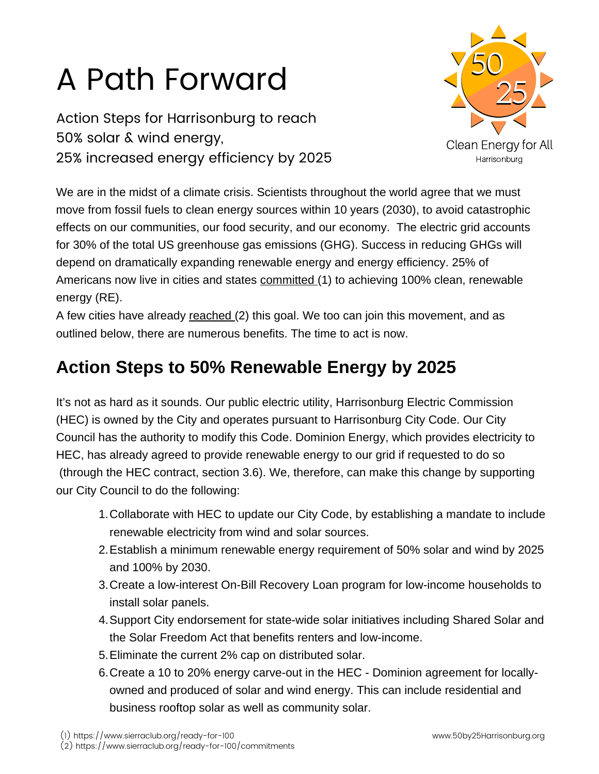# A Path Forward

Action Steps for Harrisonburg to reach 50% solar & wind energy, 25% increased energy efficiency by 2025



We are in the midst of a climate crisis. Scientists throughout the world agree that we must move from fossil fuels to clean energy sources within 10 years (2030), to avoid catastrophic [effects on our communities, our food security, and our economy. The electric grid accounts](https://www.sierraclub.org/ready-for-100) for 30% of the total US greenhouse gas emissions (GHG). Success in reducing GHGs will depend on dramatically expanding renewable energy and energy efficiency. 25% of Americans now live in cities and states committed (1) to achieving 100% clean, renewable energy (RE).

A few cities have already reached (2) this goal. We too can join this movement, and as outlined below, there are numerous benefits. The time to act is now.

### **[Action Steps to 50% Renewable Energy by 2025](https://www.sierraclub.org/ready-for-100/commitments)**

It's not as hard as it sounds. Our public electric utility, Harrisonburg Electric Commission (HEC) is owned by the City and operates pursuant to Harrisonburg City Code. Our City Council has the authority to modify this Code. Dominion Energy, which provides electricity to HEC, has already agreed to provide renewable energy to our grid if requested to do so (through the HEC contract, section 3.6). We, therefore, can make this change by supporting our City Council to do the following:

- Collaborate with HEC to update our City Code, by establishing a mandate to include 1. renewable electricity from wind and solar sources.
- Establish a minimum renewable energy requirement of 50% solar and wind by 2025 2. and 100% by 2030.
- 3. Create a low-interest On-Bill Recovery Loan program for low-income households to install solar panels.
- 4. Support City endorsement for state-wide solar initiatives including Shared Solar and the Solar Freedom Act that benefits renters and low-income.
- Eliminate the current 2% cap on distributed solar. 5.
- 6. Create a 10 to 20% energy carve-out in the HEC Dominion agreement for locallyowned and produced of solar and wind energy. This can include residential and business rooftop solar as well as community solar.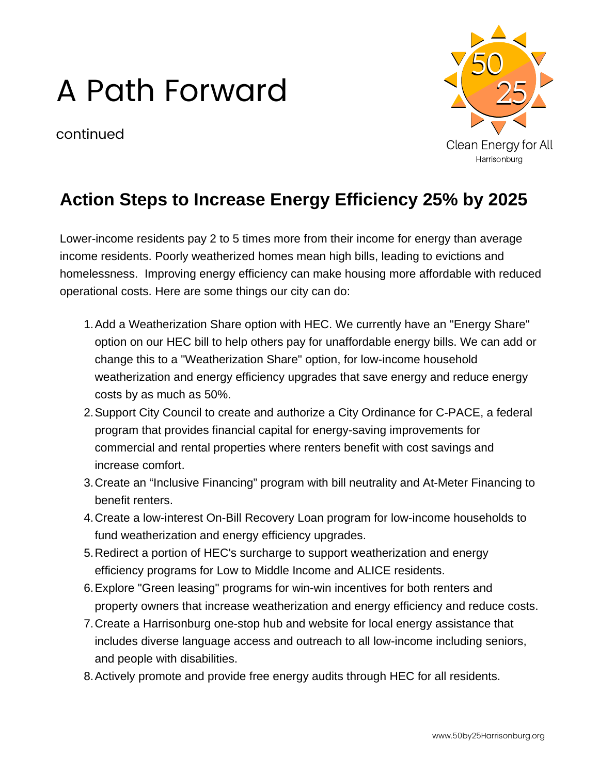## A Path Forward

continued



#### **Action Steps to Increase Energy Efficiency 25% by 2025**

Lower-income residents pay 2 to 5 times more from their income for energy than average income residents. Poorly weatherized homes mean high bills, leading to evictions and homelessness. Improving energy efficiency can make housing more affordable with reduced operational costs. Here are some things our city can do:

- 1. Add a Weatherization Share option with HEC. We currently have an "Energy Share" option on our HEC bill to help others pay for unaffordable energy bills. We can add or change this to a "Weatherization Share" option, for low-income household weatherization and energy efficiency upgrades that save energy and reduce energy costs by as much as 50%.
- 2. Support City Council to create and authorize a City Ordinance for C-PACE, a federal program that provides financial capital for energy-saving improvements for commercial and rental properties where renters benefit with cost savings and increase comfort.
- 3. Create an "Inclusive Financing" program with bill neutrality and At-Meter Financing to benefit renters.
- 4. Create a low-interest On-Bill Recovery Loan program for low-income households to fund weatherization and energy efficiency upgrades.
- 5. Redirect a portion of HEC's surcharge to support weatherization and energy efficiency programs for Low to Middle Income and ALICE residents.
- Explore "Green leasing" programs for win-win incentives for both renters and 6. property owners that increase weatherization and energy efficiency and reduce costs.
- 7. Create a Harrisonburg one-stop hub and website for local energy assistance that includes diverse language access and outreach to all low-income including seniors, and people with disabilities.
- Actively promote and provide free energy audits through HEC for all residents. 8.